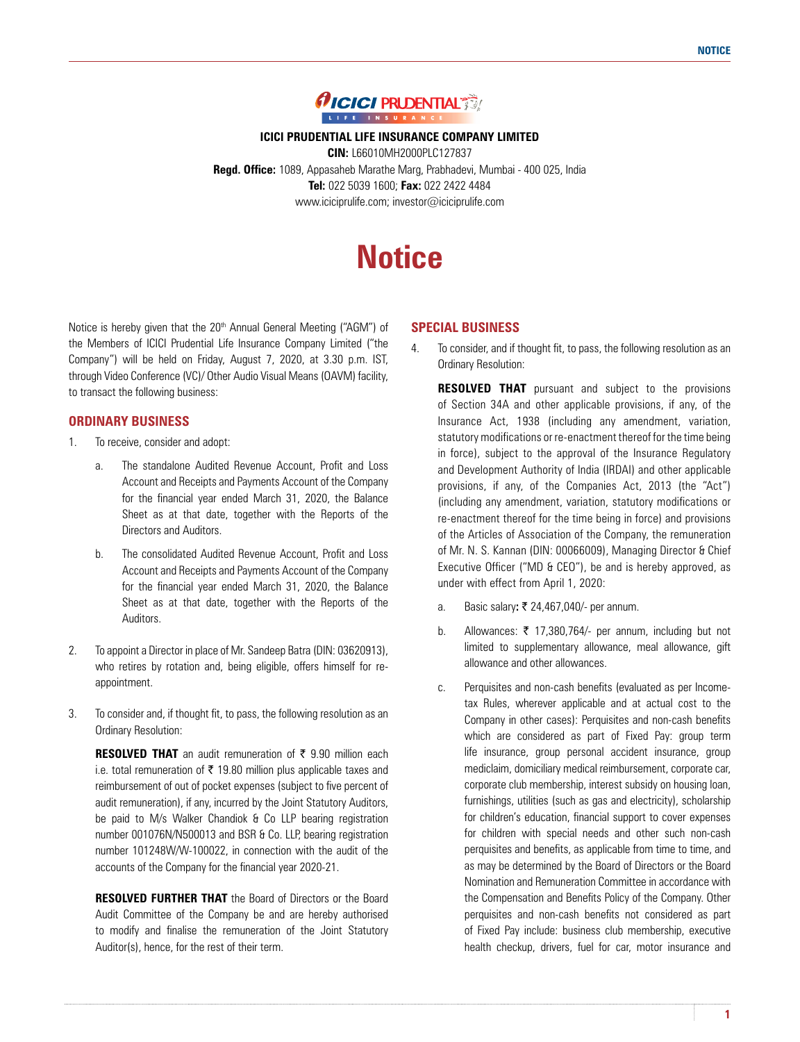

**ICICI PRUDENTIAL LIFE INSURANCE COMPANY LIMITED**

**CIN:** L66010MH2000PLC127837 **Regd. Office:** 1089, Appasaheb Marathe Marg, Prabhadevi, Mumbai - 400 025, India **Tel:** 022 5039 1600; **Fax:** 022 2422 4484 www.iciciprulife.com; investor@iciciprulife.com

# **Notice**

Notice is hereby given that the 20<sup>th</sup> Annual General Meeting ("AGM") of the Members of ICICI Prudential Life Insurance Company Limited ("the Company") will be held on Friday, August 7, 2020, at 3.30 p.m. IST, through Video Conference (VC)/ Other Audio Visual Means (OAVM) facility, to transact the following business:

# **ORDINARY BUSINESS**

- 1. To receive, consider and adopt:
	- a. The standalone Audited Revenue Account, Profit and Loss Account and Receipts and Payments Account of the Company for the financial year ended March 31, 2020, the Balance Sheet as at that date, together with the Reports of the Directors and Auditors.
	- b. The consolidated Audited Revenue Account, Profit and Loss Account and Receipts and Payments Account of the Company for the financial year ended March 31, 2020, the Balance Sheet as at that date, together with the Reports of the Auditors.
- 2. To appoint a Director in place of Mr. Sandeep Batra (DIN: 03620913), who retires by rotation and, being eligible, offers himself for reappointment.
- 3. To consider and, if thought fit, to pass, the following resolution as an Ordinary Resolution:

**RESOLVED THAT** an audit remuneration of  $\bar{\tau}$  9.90 million each i.e. total remuneration of  $\bar{\tau}$  19.80 million plus applicable taxes and reimbursement of out of pocket expenses (subject to five percent of audit remuneration), if any, incurred by the Joint Statutory Auditors, be paid to M/s Walker Chandiok & Co LLP bearing registration number 001076N/N500013 and BSR & Co. LLP, bearing registration number 101248W/W-100022, in connection with the audit of the accounts of the Company for the financial year 2020-21.

 **RESOLVED FURTHER THAT** the Board of Directors or the Board Audit Committee of the Company be and are hereby authorised to modify and finalise the remuneration of the Joint Statutory Auditor(s), hence, for the rest of their term.

# **SPECIAL BUSINESS**

4. To consider, and if thought fit, to pass, the following resolution as an Ordinary Resolution:

**RESOLVED THAT** pursuant and subject to the provisions of Section 34A and other applicable provisions, if any, of the Insurance Act, 1938 (including any amendment, variation, statutory modifications or re-enactment thereof for the time being in force), subject to the approval of the Insurance Regulatory and Development Authority of India (IRDAI) and other applicable provisions, if any, of the Companies Act, 2013 (the "Act") (including any amendment, variation, statutory modifications or re-enactment thereof for the time being in force) and provisions of the Articles of Association of the Company, the remuneration of Mr. N. S. Kannan (DIN: 00066009), Managing Director & Chief Executive Officer ("MD & CEO"), be and is hereby approved, as under with effect from April 1, 2020:

- a. Basic salary: ₹ 24,467,040/- per annum.
- b. Allowances:  $\bar{\tau}$  17,380,764/- per annum, including but not limited to supplementary allowance, meal allowance, gift allowance and other allowances.
- c. Perquisites and non-cash benefits (evaluated as per Incometax Rules, wherever applicable and at actual cost to the Company in other cases): Perquisites and non-cash benefits which are considered as part of Fixed Pay: group term life insurance, group personal accident insurance, group mediclaim, domiciliary medical reimbursement, corporate car, corporate club membership, interest subsidy on housing loan, furnishings, utilities (such as gas and electricity), scholarship for children's education, financial support to cover expenses for children with special needs and other such non-cash perquisites and benefits, as applicable from time to time, and as may be determined by the Board of Directors or the Board Nomination and Remuneration Committee in accordance with the Compensation and Benefits Policy of the Company. Other perquisites and non-cash benefits not considered as part of Fixed Pay include: business club membership, executive health checkup, drivers, fuel for car, motor insurance and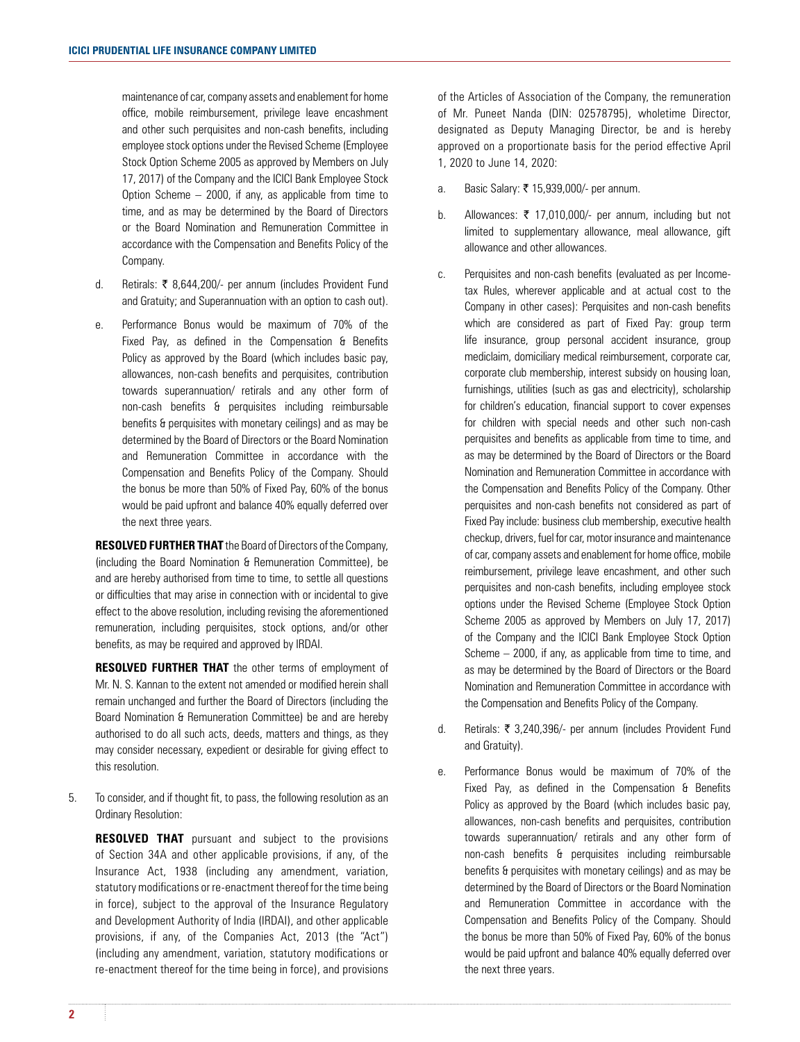maintenance of car, company assets and enablement for home office, mobile reimbursement, privilege leave encashment and other such perquisites and non-cash benefits, including employee stock options under the Revised Scheme (Employee Stock Option Scheme 2005 as approved by Members on July 17, 2017) of the Company and the ICICI Bank Employee Stock Option Scheme – 2000, if any, as applicable from time to time, and as may be determined by the Board of Directors or the Board Nomination and Remuneration Committee in accordance with the Compensation and Benefits Policy of the Company.

- d. Retirals: ` 8,644,200/- per annum (includes Provident Fund and Gratuity; and Superannuation with an option to cash out).
- e. Performance Bonus would be maximum of 70% of the Fixed Pay, as defined in the Compensation & Benefits Policy as approved by the Board (which includes basic pay, allowances, non-cash benefits and perquisites, contribution towards superannuation/ retirals and any other form of non-cash benefits & perquisites including reimbursable benefits & perquisites with monetary ceilings) and as may be determined by the Board of Directors or the Board Nomination and Remuneration Committee in accordance with the Compensation and Benefits Policy of the Company. Should the bonus be more than 50% of Fixed Pay, 60% of the bonus would be paid upfront and balance 40% equally deferred over the next three years.

 **RESOLVED FURTHER THAT** the Board of Directors of the Company, (including the Board Nomination & Remuneration Committee), be and are hereby authorised from time to time, to settle all questions or difficulties that may arise in connection with or incidental to give effect to the above resolution, including revising the aforementioned remuneration, including perquisites, stock options, and/or other benefits, as may be required and approved by IRDAI.

 **RESOLVED FURTHER THAT** the other terms of employment of Mr. N. S. Kannan to the extent not amended or modified herein shall remain unchanged and further the Board of Directors (including the Board Nomination & Remuneration Committee) be and are hereby authorised to do all such acts, deeds, matters and things, as they may consider necessary, expedient or desirable for giving effect to this resolution.

5. To consider, and if thought fit, to pass, the following resolution as an Ordinary Resolution:

**RESOLVED THAT** pursuant and subject to the provisions of Section 34A and other applicable provisions, if any, of the Insurance Act, 1938 (including any amendment, variation, statutory modifications or re-enactment thereof for the time being in force), subject to the approval of the Insurance Regulatory and Development Authority of India (IRDAI), and other applicable provisions, if any, of the Companies Act, 2013 (the "Act") (including any amendment, variation, statutory modifications or re-enactment thereof for the time being in force), and provisions

of the Articles of Association of the Company, the remuneration of Mr. Puneet Nanda (DIN: 02578795), wholetime Director, designated as Deputy Managing Director, be and is hereby approved on a proportionate basis for the period effective April 1, 2020 to June 14, 2020:

- a. Basic Salary:  $\bar{\tau}$  15,939,000/- per annum.
- b. Allowances:  $\bar{\tau}$  17,010,000/- per annum, including but not limited to supplementary allowance, meal allowance, gift allowance and other allowances.
- c. Perquisites and non-cash benefits (evaluated as per Incometax Rules, wherever applicable and at actual cost to the Company in other cases): Perquisites and non-cash benefits which are considered as part of Fixed Pay: group term life insurance, group personal accident insurance, group mediclaim, domiciliary medical reimbursement, corporate car, corporate club membership, interest subsidy on housing loan, furnishings, utilities (such as gas and electricity), scholarship for children's education, financial support to cover expenses for children with special needs and other such non-cash perquisites and benefits as applicable from time to time, and as may be determined by the Board of Directors or the Board Nomination and Remuneration Committee in accordance with the Compensation and Benefits Policy of the Company. Other perquisites and non-cash benefits not considered as part of Fixed Pay include: business club membership, executive health checkup, drivers, fuel for car, motor insurance and maintenance of car, company assets and enablement for home office, mobile reimbursement, privilege leave encashment, and other such perquisites and non-cash benefits, including employee stock options under the Revised Scheme (Employee Stock Option Scheme 2005 as approved by Members on July 17, 2017) of the Company and the ICICI Bank Employee Stock Option Scheme – 2000, if any, as applicable from time to time, and as may be determined by the Board of Directors or the Board Nomination and Remuneration Committee in accordance with the Compensation and Benefits Policy of the Company.
- d. Retirals: ` 3,240,396/- per annum (includes Provident Fund and Gratuity).
- e. Performance Bonus would be maximum of 70% of the Fixed Pay, as defined in the Compensation & Benefits Policy as approved by the Board (which includes basic pay, allowances, non-cash benefits and perquisites, contribution towards superannuation/ retirals and any other form of non-cash benefits & perquisites including reimbursable benefits & perquisites with monetary ceilings) and as may be determined by the Board of Directors or the Board Nomination and Remuneration Committee in accordance with the Compensation and Benefits Policy of the Company. Should the bonus be more than 50% of Fixed Pay, 60% of the bonus would be paid upfront and balance 40% equally deferred over the next three years.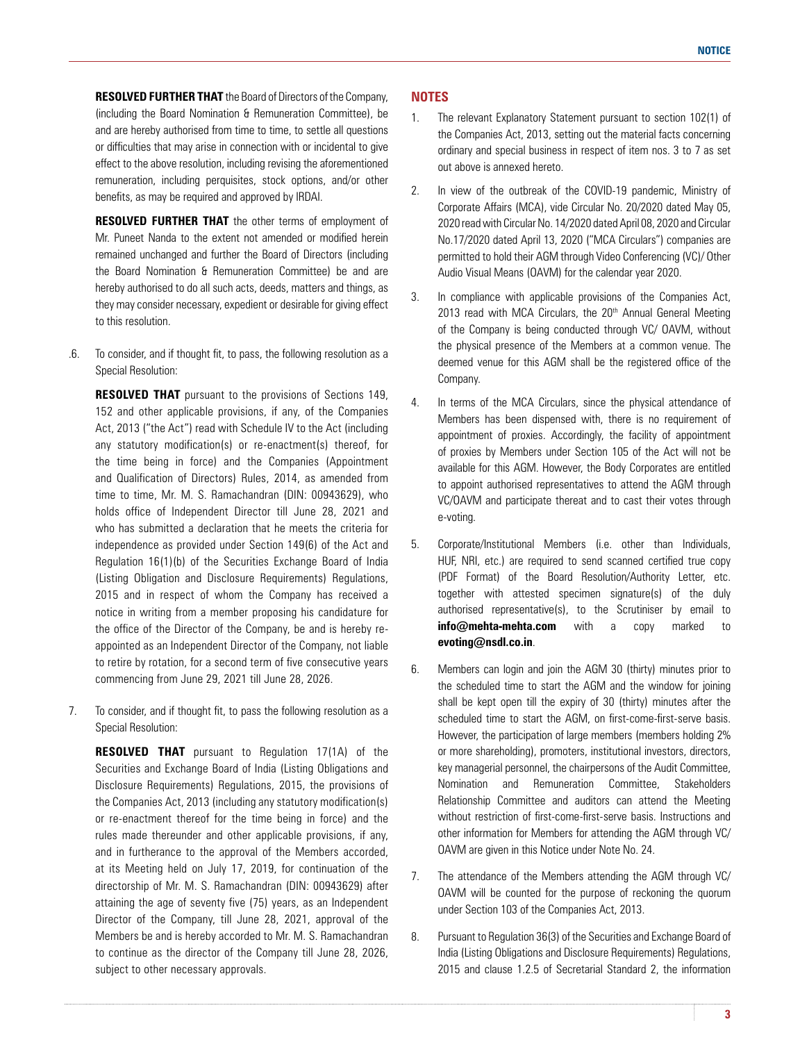**RESOLVED FURTHER THAT** the Board of Directors of the Company, (including the Board Nomination & Remuneration Committee), be and are hereby authorised from time to time, to settle all questions or difficulties that may arise in connection with or incidental to give effect to the above resolution, including revising the aforementioned remuneration, including perquisites, stock options, and/or other benefits, as may be required and approved by IRDAI.

**RESOLVED FURTHER THAT** the other terms of employment of Mr. Puneet Nanda to the extent not amended or modified herein remained unchanged and further the Board of Directors (including the Board Nomination & Remuneration Committee) be and are hereby authorised to do all such acts, deeds, matters and things, as they may consider necessary, expedient or desirable for giving effect to this resolution.

.6. To consider, and if thought fit, to pass, the following resolution as a Special Resolution:

**RESOLVED THAT** pursuant to the provisions of Sections 149, 152 and other applicable provisions, if any, of the Companies Act, 2013 ("the Act") read with Schedule IV to the Act (including any statutory modification(s) or re-enactment(s) thereof, for the time being in force) and the Companies (Appointment and Qualification of Directors) Rules, 2014, as amended from time to time, Mr. M. S. Ramachandran (DIN: 00943629), who holds office of Independent Director till June 28, 2021 and who has submitted a declaration that he meets the criteria for independence as provided under Section 149(6) of the Act and Regulation 16(1)(b) of the Securities Exchange Board of India (Listing Obligation and Disclosure Requirements) Regulations, 2015 and in respect of whom the Company has received a notice in writing from a member proposing his candidature for the office of the Director of the Company, be and is hereby reappointed as an Independent Director of the Company, not liable to retire by rotation, for a second term of five consecutive years commencing from June 29, 2021 till June 28, 2026.

7. To consider, and if thought fit, to pass the following resolution as a Special Resolution:

 **RESOLVED THAT** pursuant to Regulation 17(1A) of the Securities and Exchange Board of India (Listing Obligations and Disclosure Requirements) Regulations, 2015, the provisions of the Companies Act, 2013 (including any statutory modification(s) or re-enactment thereof for the time being in force) and the rules made thereunder and other applicable provisions, if any, and in furtherance to the approval of the Members accorded, at its Meeting held on July 17, 2019, for continuation of the directorship of Mr. M. S. Ramachandran (DIN: 00943629) after attaining the age of seventy five (75) years, as an Independent Director of the Company, till June 28, 2021, approval of the Members be and is hereby accorded to Mr. M. S. Ramachandran to continue as the director of the Company till June 28, 2026, subject to other necessary approvals.

# **NOTES**

- 1. The relevant Explanatory Statement pursuant to section 102(1) of the Companies Act, 2013, setting out the material facts concerning ordinary and special business in respect of item nos. 3 to 7 as set out above is annexed hereto.
- 2. In view of the outbreak of the COVID-19 pandemic, Ministry of Corporate Affairs (MCA), vide Circular No. 20/2020 dated May 05, 2020 read with Circular No. 14/2020 dated April 08, 2020 and Circular No.17/2020 dated April 13, 2020 ("MCA Circulars") companies are permitted to hold their AGM through Video Conferencing (VC)/ Other Audio Visual Means (OAVM) for the calendar year 2020.
- 3. In compliance with applicable provisions of the Companies Act, 2013 read with MCA Circulars, the 20<sup>th</sup> Annual General Meeting of the Company is being conducted through VC/ OAVM, without the physical presence of the Members at a common venue. The deemed venue for this AGM shall be the registered office of the Company.
- 4. In terms of the MCA Circulars, since the physical attendance of Members has been dispensed with, there is no requirement of appointment of proxies. Accordingly, the facility of appointment of proxies by Members under Section 105 of the Act will not be available for this AGM. However, the Body Corporates are entitled to appoint authorised representatives to attend the AGM through VC/OAVM and participate thereat and to cast their votes through e-voting.
- 5. Corporate/Institutional Members (i.e. other than Individuals, HUF, NRI, etc.) are required to send scanned certified true copy (PDF Format) of the Board Resolution/Authority Letter, etc. together with attested specimen signature(s) of the duly authorised representative(s), to the Scrutiniser by email to **info@mehta-mehta.com** with a copy marked to **evoting@nsdl.co.in**.
- 6. Members can login and join the AGM 30 (thirty) minutes prior to the scheduled time to start the AGM and the window for joining shall be kept open till the expiry of 30 (thirty) minutes after the scheduled time to start the AGM, on first-come-first-serve basis. However, the participation of large members (members holding 2% or more shareholding), promoters, institutional investors, directors, key managerial personnel, the chairpersons of the Audit Committee, Nomination and Remuneration Committee, Stakeholders Relationship Committee and auditors can attend the Meeting without restriction of first-come-first-serve basis. Instructions and other information for Members for attending the AGM through VC/ OAVM are given in this Notice under Note No. 24.
- 7. The attendance of the Members attending the AGM through VC/ OAVM will be counted for the purpose of reckoning the quorum under Section 103 of the Companies Act, 2013.
- 8. Pursuant to Regulation 36(3) of the Securities and Exchange Board of India (Listing Obligations and Disclosure Requirements) Regulations, 2015 and clause 1.2.5 of Secretarial Standard 2, the information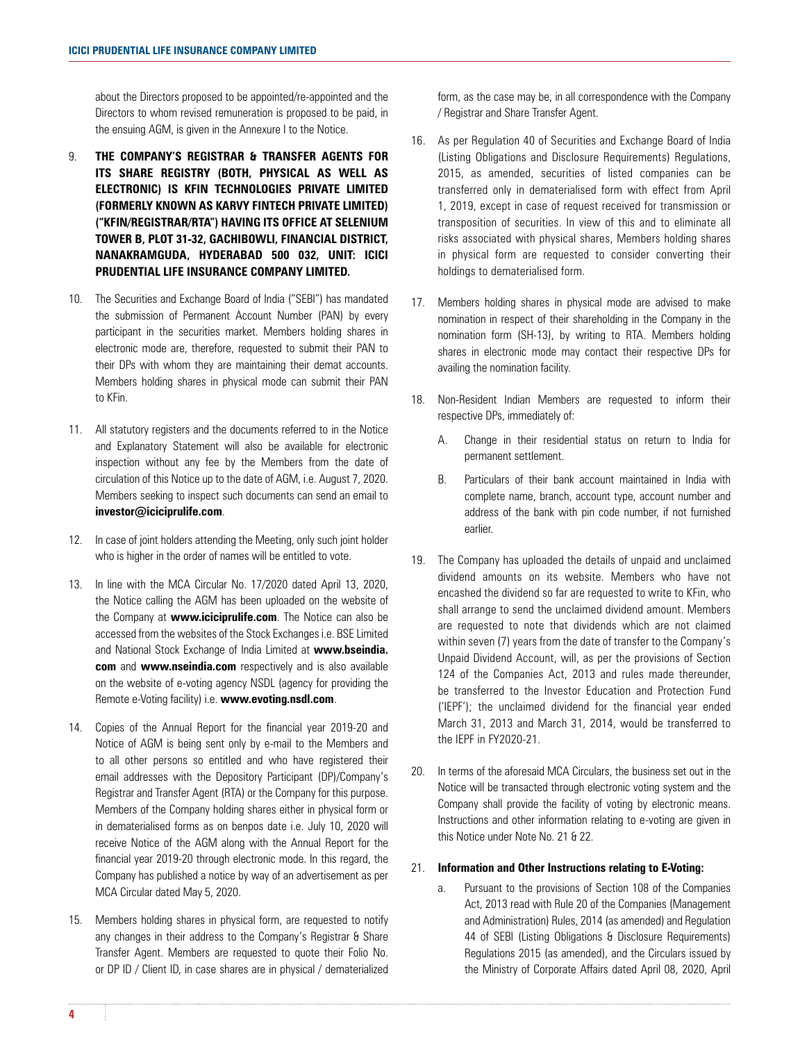about the Directors proposed to be appointed/re-appointed and the Directors to whom revised remuneration is proposed to be paid, in the ensuing AGM, is given in the Annexure I to the Notice.

- 9. **THE COMPANY'S REGISTRAR & TRANSFER AGENTS FOR ITS SHARE REGISTRY (BOTH, PHYSICAL AS WELL AS ELECTRONIC) IS KFIN TECHNOLOGIES PRIVATE LIMITED (FORMERLY KNOWN AS KARVY FINTECH PRIVATE LIMITED) ("KFIN/REGISTRAR/RTA") HAVING ITS OFFICE AT SELENIUM TOWER B, PLOT 31-32, GACHIBOWLI, FINANCIAL DISTRICT, NANAKRAMGUDA, HYDERABAD 500 032, UNIT: ICICI PRUDENTIAL LIFE INSURANCE COMPANY LIMITED.**
- 10. The Securities and Exchange Board of India ("SEBI") has mandated the submission of Permanent Account Number (PAN) by every participant in the securities market. Members holding shares in electronic mode are, therefore, requested to submit their PAN to their DPs with whom they are maintaining their demat accounts. Members holding shares in physical mode can submit their PAN to KFin.
- 11. All statutory registers and the documents referred to in the Notice and Explanatory Statement will also be available for electronic inspection without any fee by the Members from the date of circulation of this Notice up to the date of AGM, i.e. August 7, 2020. Members seeking to inspect such documents can send an email to **investor@iciciprulife.com**.
- 12. In case of joint holders attending the Meeting, only such joint holder who is higher in the order of names will be entitled to vote.
- 13. In line with the MCA Circular No. 17/2020 dated April 13, 2020, the Notice calling the AGM has been uploaded on the website of the Company at **www.iciciprulife.com**. The Notice can also be accessed from the websites of the Stock Exchanges i.e. BSE Limited and National Stock Exchange of India Limited at **www.bseindia. com** and **www.nseindia.com** respectively and is also available on the website of e-voting agency NSDL (agency for providing the Remote e-Voting facility) i.e. **www.evoting.nsdl.com**.
- 14. Copies of the Annual Report for the financial year 2019-20 and Notice of AGM is being sent only by e-mail to the Members and to all other persons so entitled and who have registered their email addresses with the Depository Participant (DP)/Company's Registrar and Transfer Agent (RTA) or the Company for this purpose. Members of the Company holding shares either in physical form or in dematerialised forms as on benpos date i.e. July 10, 2020 will receive Notice of the AGM along with the Annual Report for the financial year 2019-20 through electronic mode. In this regard, the Company has published a notice by way of an advertisement as per MCA Circular dated May 5, 2020.
- 15. Members holding shares in physical form, are requested to notify any changes in their address to the Company's Registrar & Share Transfer Agent. Members are requested to quote their Folio No. or DP ID / Client ID, in case shares are in physical / dematerialized

form, as the case may be, in all correspondence with the Company / Registrar and Share Transfer Agent.

- 16. As per Regulation 40 of Securities and Exchange Board of India (Listing Obligations and Disclosure Requirements) Regulations, 2015, as amended, securities of listed companies can be transferred only in dematerialised form with effect from April 1, 2019, except in case of request received for transmission or transposition of securities. In view of this and to eliminate all risks associated with physical shares, Members holding shares in physical form are requested to consider converting their holdings to dematerialised form.
- 17. Members holding shares in physical mode are advised to make nomination in respect of their shareholding in the Company in the nomination form (SH-13), by writing to RTA. Members holding shares in electronic mode may contact their respective DPs for availing the nomination facility.
- 18. Non-Resident Indian Members are requested to inform their respective DPs, immediately of:
	- A. Change in their residential status on return to India for permanent settlement.
	- B. Particulars of their bank account maintained in India with complete name, branch, account type, account number and address of the bank with pin code number, if not furnished earlier.
- 19. The Company has uploaded the details of unpaid and unclaimed dividend amounts on its website. Members who have not encashed the dividend so far are requested to write to KFin, who shall arrange to send the unclaimed dividend amount. Members are requested to note that dividends which are not claimed within seven (7) years from the date of transfer to the Company's Unpaid Dividend Account, will, as per the provisions of Section 124 of the Companies Act, 2013 and rules made thereunder, be transferred to the Investor Education and Protection Fund ('IEPF'); the unclaimed dividend for the financial year ended March 31, 2013 and March 31, 2014, would be transferred to the IEPF in FY2020-21.
- 20. In terms of the aforesaid MCA Circulars, the business set out in the Notice will be transacted through electronic voting system and the Company shall provide the facility of voting by electronic means. Instructions and other information relating to e-voting are given in this Notice under Note No. 21 & 22.

#### 21. **Information and Other Instructions relating to E-Voting:**

a. Pursuant to the provisions of Section 108 of the Companies Act, 2013 read with Rule 20 of the Companies (Management and Administration) Rules, 2014 (as amended) and Regulation 44 of SEBI (Listing Obligations & Disclosure Requirements) Regulations 2015 (as amended), and the Circulars issued by the Ministry of Corporate Affairs dated April 08, 2020, April

**4 5**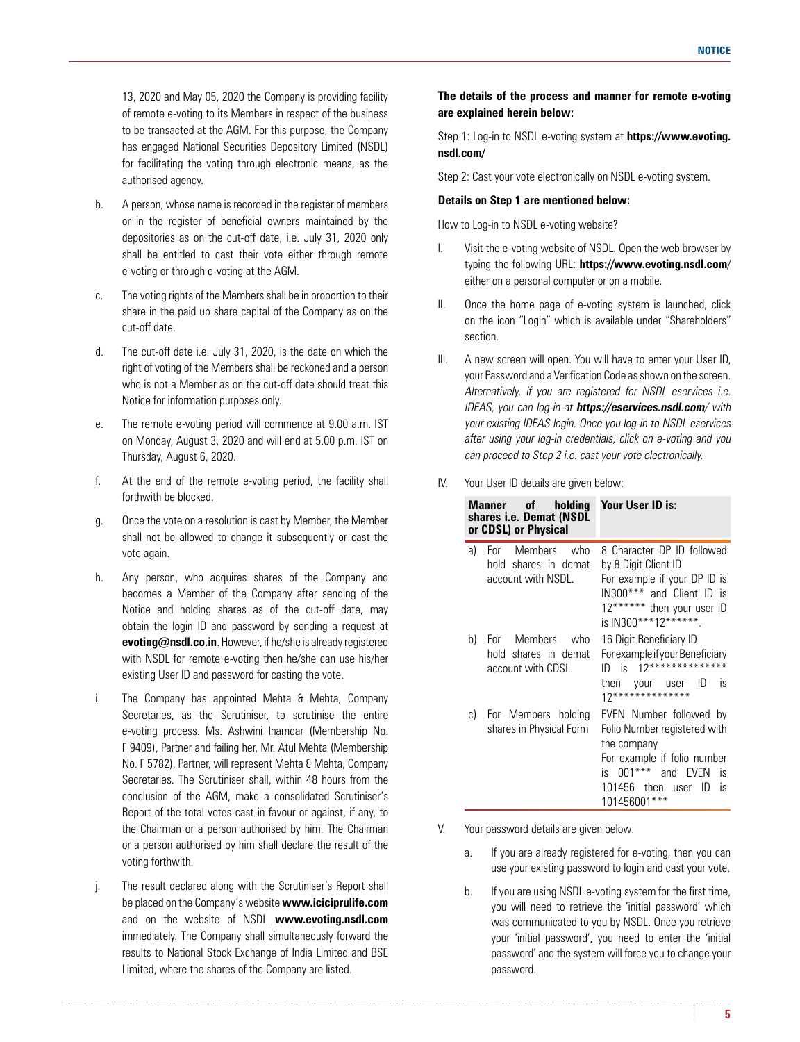13, 2020 and May 05, 2020 the Company is providing facility of remote e-voting to its Members in respect of the business to be transacted at the AGM. For this purpose, the Company has engaged National Securities Depository Limited (NSDL) for facilitating the voting through electronic means, as the authorised agency.

- b. A person, whose name is recorded in the register of members or in the register of beneficial owners maintained by the depositories as on the cut-off date, i.e. July 31, 2020 only shall be entitled to cast their vote either through remote e-voting or through e-voting at the AGM.
- c. The voting rights of the Members shall be in proportion to their share in the paid up share capital of the Company as on the cut-off date.
- d. The cut-off date i.e. July 31, 2020, is the date on which the right of voting of the Members shall be reckoned and a person who is not a Member as on the cut-off date should treat this Notice for information purposes only.
- e. The remote e-voting period will commence at 9.00 a.m. IST on Monday, August 3, 2020 and will end at 5.00 p.m. IST on Thursday, August 6, 2020.
- f. At the end of the remote e-voting period, the facility shall forthwith be blocked.
- g. Once the vote on a resolution is cast by Member, the Member shall not be allowed to change it subsequently or cast the vote again.
- h. Any person, who acquires shares of the Company and becomes a Member of the Company after sending of the Notice and holding shares as of the cut-off date, may obtain the login ID and password by sending a request at **evoting@nsdl.co.in**. However, if he/she is already registered with NSDL for remote e-voting then he/she can use his/her existing User ID and password for casting the vote.
- i. The Company has appointed Mehta & Mehta, Company Secretaries, as the Scrutiniser, to scrutinise the entire e-voting process. Ms. Ashwini Inamdar (Membership No. F 9409), Partner and failing her, Mr. Atul Mehta (Membership No. F 5782), Partner, will represent Mehta & Mehta, Company Secretaries. The Scrutiniser shall, within 48 hours from the conclusion of the AGM, make a consolidated Scrutiniser's Report of the total votes cast in favour or against, if any, to the Chairman or a person authorised by him. The Chairman or a person authorised by him shall declare the result of the voting forthwith.
- j. The result declared along with the Scrutiniser's Report shall be placed on the Company's website **www.iciciprulife.com** and on the website of NSDL **www.evoting.nsdl.com** immediately. The Company shall simultaneously forward the results to National Stock Exchange of India Limited and BSE Limited, where the shares of the Company are listed.

# **The details of the process and manner for remote e-voting are explained herein below:**

 Step 1: Log-in to NSDL e-voting system at **https://www.evoting. nsdl.com/**

Step 2: Cast your vote electronically on NSDL e-voting system.

#### **Details on Step 1 are mentioned below:**

How to Log-in to NSDL e-voting website?

- I. Visit the e-voting website of NSDL. Open the web browser by typing the following URL: **https://www.evoting.nsdl.com**/ either on a personal computer or on a mobile.
- II. Once the home page of e-voting system is launched, click on the icon "Login" which is available under "Shareholders" section.
- III. A new screen will open. You will have to enter your User ID, your Password and a Verification Code as shown on the screen. Alternatively, if you are registered for NSDL eservices i.e. IDEAS, you can log-in at **https://eservices.nsdl.com**/ with your existing IDEAS login. Once you log-in to NSDL eservices after using your log-in credentials, click on e-voting and you can proceed to Step 2 i.e. cast your vote electronically.
- IV. Your User ID details are given below:

|    | Manner of holding<br>shares i.e. Demat (NSDL<br>or CDSL) or Physical | Your User ID is:                                                                                                                                                               |
|----|----------------------------------------------------------------------|--------------------------------------------------------------------------------------------------------------------------------------------------------------------------------|
| a) | For Members who<br>hold shares in demat<br>account with NSDL.        | 8 Character DP ID followed<br>by 8 Digit Client ID<br>For example if your DP ID is<br>IN300*** and Client ID is<br>12****** then your user ID<br>is IN300***12******.          |
| b) | For Members who<br>hold shares in demat<br>account with CDSL.        | 16 Digit Beneficiary ID<br>For example if your Beneficiary<br>$12*******************$<br>ID is<br>then your user<br>ID)<br>IS<br>$12*******************$                       |
| C) | For Members holding<br>shares in Physical Form                       | EVEN Number followed by<br>Folio Number registered with<br>the company<br>For example if folio number<br>is 001***<br>and EVEN<br>is<br>101456 then user ID<br>is<br>101456001 |

V. Your password details are given below:

- a. If you are already registered for e-voting, then you can use your existing password to login and cast your vote.
- b. If you are using NSDL e-voting system for the first time, you will need to retrieve the 'initial password' which was communicated to you by NSDL. Once you retrieve your 'initial password', you need to enter the 'initial password' and the system will force you to change your password.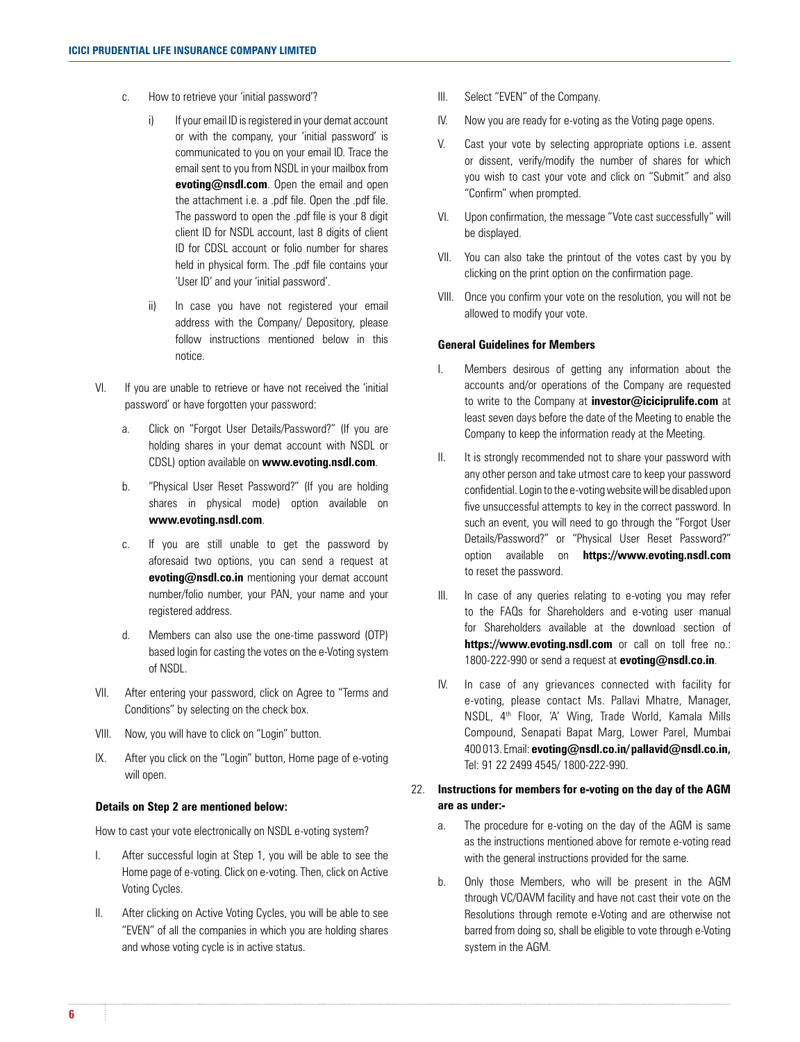- c. How to retrieve your 'initial password'?
	- i) If your email ID is registered in your demat account or with the company, your 'initial password' is communicated to you on your email ID. Trace the email sent to you from NSDL in your mailbox from **evoting@nsdl.com**. Open the email and open the attachment i.e. a .pdf file. Open the .pdf file. The password to open the .pdf file is your 8 digit client ID for NSDL account, last 8 digits of client ID for CDSL account or folio number for shares held in physical form. The .pdf file contains your 'User ID' and your 'initial password'.
	- ii) In case you have not registered your email address with the Company/ Depository, please follow instructions mentioned below in this notice.
- VI. If you are unable to retrieve or have not received the 'initial password' or have forgotten your password:
	- a. Click on "Forgot User Details/Password?" (If you are holding shares in your demat account with NSDL or CDSL) option available on **www.evoting.nsdl.com**.
	- b. "Physical User Reset Password?" (If you are holding shares in physical mode) option available on **www.evoting.nsdl.com**.
	- c. If you are still unable to get the password by aforesaid two options, you can send a request at **evoting@nsdl.co.in** mentioning your demat account number/folio number, your PAN, your name and your registered address.
	- d. Members can also use the one-time password (OTP) based login for casting the votes on the e-Voting system of NSDL.
- VII. After entering your password, click on Agree to "Terms and Conditions" by selecting on the check box.
- VIII. Now, you will have to click on "Login" button.
- IX. After you click on the "Login" button, Home page of e-voting will open.

#### **Details on Step 2 are mentioned below:**

How to cast your vote electronically on NSDL e-voting system?

- I. After successful login at Step 1, you will be able to see the Home page of e-voting. Click on e-voting. Then, click on Active Voting Cycles.
- II. After clicking on Active Voting Cycles, you will be able to see "EVEN" of all the companies in which you are holding shares and whose voting cycle is in active status.
- III. Select "EVEN" of the Company.
- IV. Now you are ready for e-voting as the Voting page opens.
- V. Cast your vote by selecting appropriate options i.e. assent or dissent, verify/modify the number of shares for which you wish to cast your vote and click on "Submit" and also "Confirm" when prompted.
- VI. Upon confirmation, the message "Vote cast successfully" will be displayed.
- VII. You can also take the printout of the votes cast by you by clicking on the print option on the confirmation page.
- VIII. Once you confirm your vote on the resolution, you will not be allowed to modify your vote.

#### **General Guidelines for Members**

- I. Members desirous of getting any information about the accounts and/or operations of the Company are requested to write to the Company at **investor@iciciprulife.com** at least seven days before the date of the Meeting to enable the Company to keep the information ready at the Meeting.
- II. It is strongly recommended not to share your password with any other person and take utmost care to keep your password confidential. Login to the e-voting website will be disabled upon five unsuccessful attempts to key in the correct password. In such an event, you will need to go through the "Forgot User Details/Password?" or "Physical User Reset Password?" option available on **https://www.evoting.nsdl.com** to reset the password.
- III. In case of any queries relating to e-voting you may refer to the FAQs for Shareholders and e-voting user manual for Shareholders available at the download section of https://www.evoting.nsdl.com or call on toll free no.: 1800-222-990 or send a request at **evoting@nsdl.co.in**.
- IV. In case of any grievances connected with facility for e-voting, please contact Ms. Pallavi Mhatre, Manager, NSDL, 4th Floor, 'A' Wing, Trade World, Kamala Mills Compound, Senapati Bapat Marg, Lower Parel, Mumbai 400 013. Email: **evoting@nsdl.co.in/ pallavid@nsdl.co.in,** Tel: 91 22 2499 4545/ 1800-222-990.

# 22. **Instructions for members for e-voting on the day of the AGM are as under:-**

- a. The procedure for e-voting on the day of the AGM is same as the instructions mentioned above for remote e-voting read with the general instructions provided for the same.
- b. Only those Members, who will be present in the AGM through VC/OAVM facility and have not cast their vote on the Resolutions through remote e-Voting and are otherwise not barred from doing so, shall be eligible to vote through e-Voting system in the AGM.

**6 7**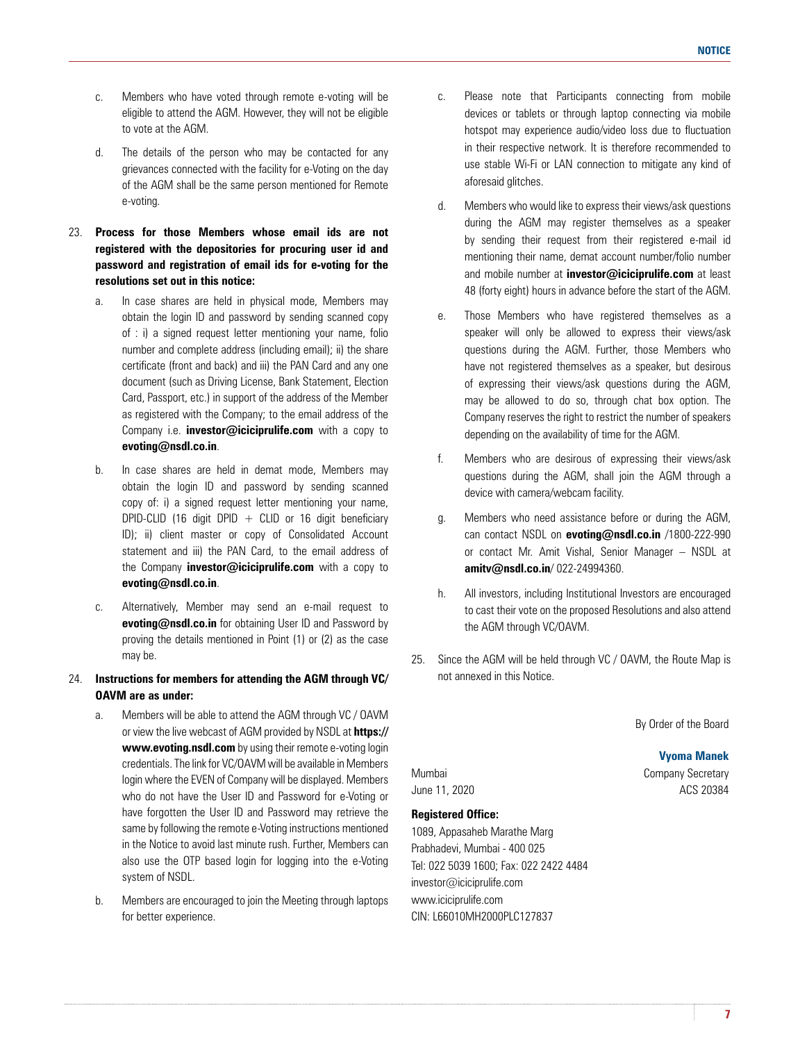- c. Members who have voted through remote e-voting will be eligible to attend the AGM. However, they will not be eligible to vote at the AGM.
- d. The details of the person who may be contacted for any grievances connected with the facility for e-Voting on the day of the AGM shall be the same person mentioned for Remote e-voting.
- 23. **Process for those Members whose email ids are not registered with the depositories for procuring user id and password and registration of email ids for e-voting for the resolutions set out in this notice:**
	- a. In case shares are held in physical mode, Members may obtain the login ID and password by sending scanned copy of : i) a signed request letter mentioning your name, folio number and complete address (including email); ii) the share certificate (front and back) and iii) the PAN Card and any one document (such as Driving License, Bank Statement, Election Card, Passport, etc.) in support of the address of the Member as registered with the Company; to the email address of the Company i.e. **investor@iciciprulife.com** with a copy to **evoting@nsdl.co.in**.
	- b. In case shares are held in demat mode, Members may obtain the login ID and password by sending scanned copy of: i) a signed request letter mentioning your name, DPID-CLID (16 digit DPID  $+$  CLID or 16 digit beneficiary ID); ii) client master or copy of Consolidated Account statement and iii) the PAN Card, to the email address of the Company **investor@iciciprulife.com** with a copy to **evoting@nsdl.co.in**.
	- c. Alternatively, Member may send an e-mail request to **evoting@nsdl.co.in** for obtaining User ID and Password by proving the details mentioned in Point (1) or (2) as the case may be.
- 24. **Instructions for members for attending the AGM through VC/ OAVM are as under:**
	- a. Members will be able to attend the AGM through VC / OAVM or view the live webcast of AGM provided by NSDL at **https:// www.evoting.nsdl.com** by using their remote e-voting login credentials. The link for VC/OAVM will be available in Members login where the EVEN of Company will be displayed. Members who do not have the User ID and Password for e-Voting or have forgotten the User ID and Password may retrieve the same by following the remote e-Voting instructions mentioned in the Notice to avoid last minute rush. Further, Members can also use the OTP based login for logging into the e-Voting system of NSDL.
	- b. Members are encouraged to join the Meeting through laptops for better experience.
- c. Please note that Participants connecting from mobile devices or tablets or through laptop connecting via mobile hotspot may experience audio/video loss due to fluctuation in their respective network. It is therefore recommended to use stable Wi-Fi or LAN connection to mitigate any kind of aforesaid glitches.
- d. Members who would like to express their views/ask questions during the AGM may register themselves as a speaker by sending their request from their registered e-mail id mentioning their name, demat account number/folio number and mobile number at **investor@iciciprulife.com** at least 48 (forty eight) hours in advance before the start of the AGM.
- e. Those Members who have registered themselves as a speaker will only be allowed to express their views/ask questions during the AGM. Further, those Members who have not registered themselves as a speaker, but desirous of expressing their views/ask questions during the AGM, may be allowed to do so, through chat box option. The Company reserves the right to restrict the number of speakers depending on the availability of time for the AGM.
- f. Members who are desirous of expressing their views/ask questions during the AGM, shall join the AGM through a device with camera/webcam facility.
- g. Members who need assistance before or during the AGM, can contact NSDL on **evoting@nsdl.co.in** /1800-222-990 or contact Mr. Amit Vishal, Senior Manager – NSDL at **amitv@nsdl.co.in**/ 022-24994360.
- h. All investors, including Institutional Investors are encouraged to cast their vote on the proposed Resolutions and also attend the AGM through VC/OAVM.
- 25. Since the AGM will be held through VC / OAVM, the Route Map is not annexed in this Notice.

By Order of the Board

**Vyoma Manek**

Mumbai **Company Secretary** June 11, 2020 **ACS** 20384

# **Registered Office:**

1089, Appasaheb Marathe Marg Prabhadevi, Mumbai - 400 025 Tel: 022 5039 1600; Fax: 022 2422 4484 investor@iciciprulife.com www.iciciprulife.com CIN: L66010MH2000PLC127837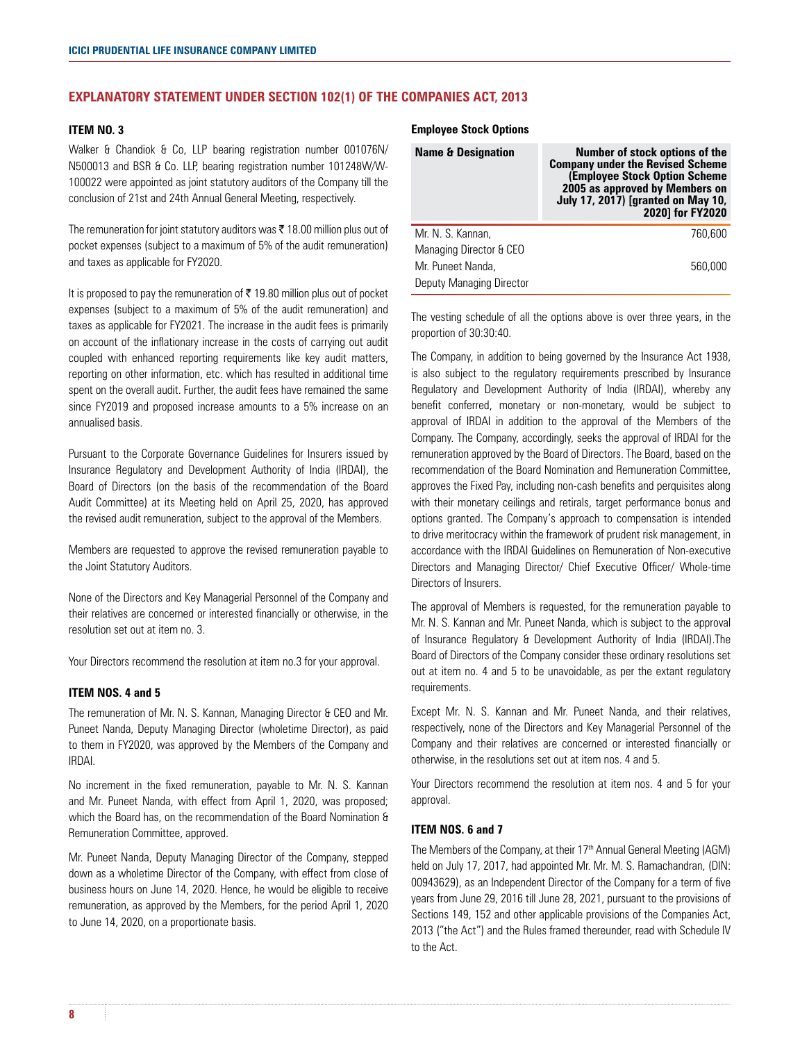# **EXPLANATORY STATEMENT UNDER SECTION 102(1) OF THE COMPANIES ACT, 2013**

# **ITEM NO. 3**

Walker & Chandiok & Co, LLP bearing registration number 001076N/ N500013 and BSR & Co. LLP, bearing registration number 101248W/W-100022 were appointed as joint statutory auditors of the Company till the conclusion of 21st and 24th Annual General Meeting, respectively.

The remuneration for joint statutory auditors was  $\bar{\tau}$  18.00 million plus out of pocket expenses (subject to a maximum of 5% of the audit remuneration) and taxes as applicable for FY2020.

It is proposed to pay the remuneration of  $\bar{\tau}$  19.80 million plus out of pocket expenses (subject to a maximum of 5% of the audit remuneration) and taxes as applicable for FY2021. The increase in the audit fees is primarily on account of the inflationary increase in the costs of carrying out audit coupled with enhanced reporting requirements like key audit matters, reporting on other information, etc. which has resulted in additional time spent on the overall audit. Further, the audit fees have remained the same since FY2019 and proposed increase amounts to a 5% increase on an annualised basis.

Pursuant to the Corporate Governance Guidelines for Insurers issued by Insurance Regulatory and Development Authority of India (IRDAI), the Board of Directors (on the basis of the recommendation of the Board Audit Committee) at its Meeting held on April 25, 2020, has approved the revised audit remuneration, subject to the approval of the Members.

Members are requested to approve the revised remuneration payable to the Joint Statutory Auditors.

None of the Directors and Key Managerial Personnel of the Company and their relatives are concerned or interested financially or otherwise, in the resolution set out at item no. 3.

Your Directors recommend the resolution at item no.3 for your approval.

## **ITEM NOS. 4 and 5**

The remuneration of Mr. N. S. Kannan, Managing Director & CEO and Mr. Puneet Nanda, Deputy Managing Director (wholetime Director), as paid to them in FY2020, was approved by the Members of the Company and IRDAI.

No increment in the fixed remuneration, payable to Mr. N. S. Kannan and Mr. Puneet Nanda, with effect from April 1, 2020, was proposed; which the Board has, on the recommendation of the Board Nomination & Remuneration Committee, approved.

Mr. Puneet Nanda, Deputy Managing Director of the Company, stepped down as a wholetime Director of the Company, with effect from close of business hours on June 14, 2020. Hence, he would be eligible to receive remuneration, as approved by the Members, for the period April 1, 2020 to June 14, 2020, on a proportionate basis.

#### **Employee Stock Options**

| <b>Name &amp; Designation</b> | Number of stock options of the<br><b>Company under the Revised Scheme</b><br>(Employee Stock Option Scheme<br>2005 as approved by Members on<br><b>July 17, 2017) [granted on May 10,</b><br>2020] for FY2020 |
|-------------------------------|---------------------------------------------------------------------------------------------------------------------------------------------------------------------------------------------------------------|
| Mr. N. S. Kannan,             | 760.600                                                                                                                                                                                                       |
| Managing Director & CEO       |                                                                                                                                                                                                               |
| Mr. Puneet Nanda,             | 560.000                                                                                                                                                                                                       |
| Deputy Managing Director      |                                                                                                                                                                                                               |

The vesting schedule of all the options above is over three years, in the proportion of 30:30:40.

The Company, in addition to being governed by the Insurance Act 1938, is also subject to the regulatory requirements prescribed by Insurance Regulatory and Development Authority of India (IRDAI), whereby any benefit conferred, monetary or non-monetary, would be subject to approval of IRDAI in addition to the approval of the Members of the Company. The Company, accordingly, seeks the approval of IRDAI for the remuneration approved by the Board of Directors. The Board, based on the recommendation of the Board Nomination and Remuneration Committee, approves the Fixed Pay, including non-cash benefits and perquisites along with their monetary ceilings and retirals, target performance bonus and options granted. The Company's approach to compensation is intended to drive meritocracy within the framework of prudent risk management, in accordance with the IRDAI Guidelines on Remuneration of Non-executive Directors and Managing Director/ Chief Executive Officer/ Whole-time Directors of Insurers.

The approval of Members is requested, for the remuneration payable to Mr. N. S. Kannan and Mr. Puneet Nanda, which is subject to the approval of Insurance Regulatory & Development Authority of India (IRDAI).The Board of Directors of the Company consider these ordinary resolutions set out at item no. 4 and 5 to be unavoidable, as per the extant regulatory requirements.

Except Mr. N. S. Kannan and Mr. Puneet Nanda, and their relatives, respectively, none of the Directors and Key Managerial Personnel of the Company and their relatives are concerned or interested financially or otherwise, in the resolutions set out at item nos. 4 and 5.

Your Directors recommend the resolution at item nos. 4 and 5 for your approval.

## **ITEM NOS. 6 and 7**

The Members of the Company, at their 17<sup>th</sup> Annual General Meeting (AGM) held on July 17, 2017, had appointed Mr. Mr. M. S. Ramachandran, (DIN: 00943629), as an Independent Director of the Company for a term of five years from June 29, 2016 till June 28, 2021, pursuant to the provisions of Sections 149, 152 and other applicable provisions of the Companies Act, 2013 ("the Act") and the Rules framed thereunder, read with Schedule IV to the Act.

**8 9**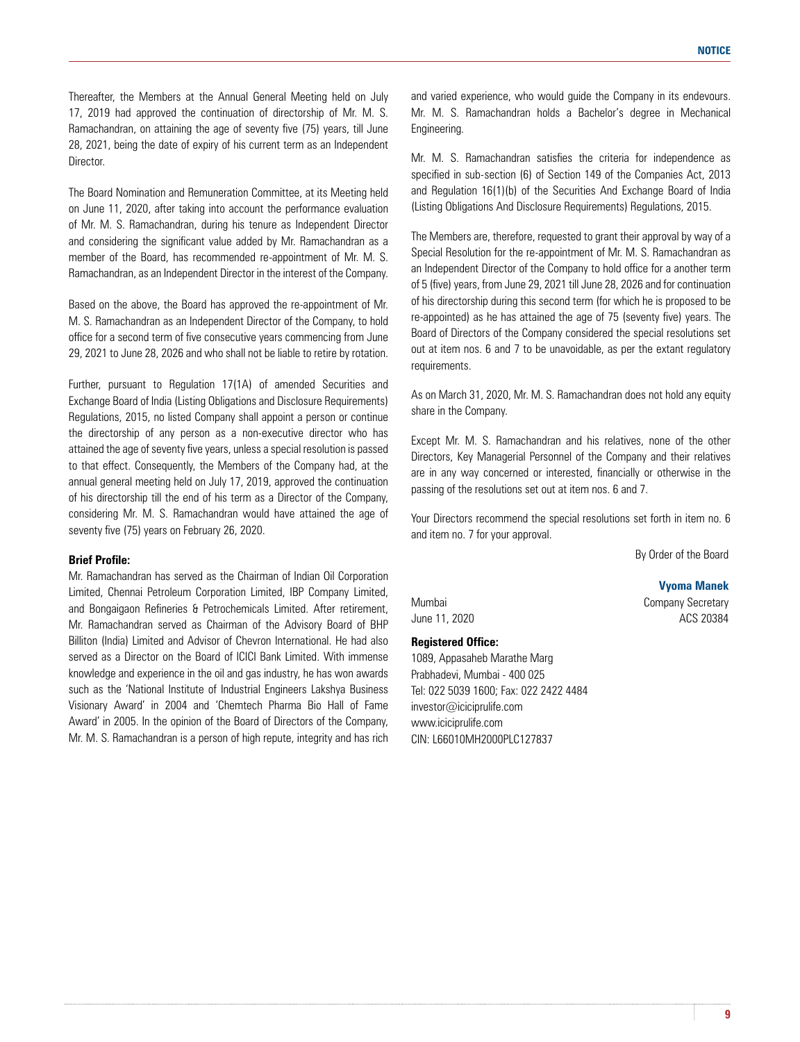Thereafter, the Members at the Annual General Meeting held on July 17, 2019 had approved the continuation of directorship of Mr. M. S. Ramachandran, on attaining the age of seventy five (75) years, till June 28, 2021, being the date of expiry of his current term as an Independent Director.

The Board Nomination and Remuneration Committee, at its Meeting held on June 11, 2020, after taking into account the performance evaluation of Mr. M. S. Ramachandran, during his tenure as Independent Director and considering the significant value added by Mr. Ramachandran as a member of the Board, has recommended re-appointment of Mr. M. S. Ramachandran, as an Independent Director in the interest of the Company.

Based on the above, the Board has approved the re-appointment of Mr. M. S. Ramachandran as an Independent Director of the Company, to hold office for a second term of five consecutive years commencing from June 29, 2021 to June 28, 2026 and who shall not be liable to retire by rotation.

Further, pursuant to Regulation 17(1A) of amended Securities and Exchange Board of India (Listing Obligations and Disclosure Requirements) Regulations, 2015, no listed Company shall appoint a person or continue the directorship of any person as a non-executive director who has attained the age of seventy five years, unless a special resolution is passed to that effect. Consequently, the Members of the Company had, at the annual general meeting held on July 17, 2019, approved the continuation of his directorship till the end of his term as a Director of the Company, considering Mr. M. S. Ramachandran would have attained the age of seventy five (75) years on February 26, 2020.

# **Brief Profile:**

Mr. Ramachandran has served as the Chairman of Indian Oil Corporation Limited, Chennai Petroleum Corporation Limited, IBP Company Limited, and Bongaigaon Refineries & Petrochemicals Limited. After retirement, Mr. Ramachandran served as Chairman of the Advisory Board of BHP Billiton (India) Limited and Advisor of Chevron International. He had also served as a Director on the Board of ICICI Bank Limited. With immense knowledge and experience in the oil and gas industry, he has won awards such as the 'National Institute of Industrial Engineers Lakshya Business Visionary Award' in 2004 and 'Chemtech Pharma Bio Hall of Fame Award' in 2005. In the opinion of the Board of Directors of the Company, Mr. M. S. Ramachandran is a person of high repute, integrity and has rich and varied experience, who would guide the Company in its endevours. Mr. M. S. Ramachandran holds a Bachelor's degree in Mechanical Engineering.

Mr. M. S. Ramachandran satisfies the criteria for independence as specified in sub-section (6) of Section 149 of the Companies Act, 2013 and Regulation 16(1)(b) of the Securities And Exchange Board of India (Listing Obligations And Disclosure Requirements) Regulations, 2015.

The Members are, therefore, requested to grant their approval by way of a Special Resolution for the re-appointment of Mr. M. S. Ramachandran as an Independent Director of the Company to hold office for a another term of 5 (five) years, from June 29, 2021 till June 28, 2026 and for continuation of his directorship during this second term (for which he is proposed to be re-appointed) as he has attained the age of 75 (seventy five) years. The Board of Directors of the Company considered the special resolutions set out at item nos. 6 and 7 to be unavoidable, as per the extant regulatory requirements.

As on March 31, 2020, Mr. M. S. Ramachandran does not hold any equity share in the Company.

Except Mr. M. S. Ramachandran and his relatives, none of the other Directors, Key Managerial Personnel of the Company and their relatives are in any way concerned or interested, financially or otherwise in the passing of the resolutions set out at item nos. 6 and 7.

Your Directors recommend the special resolutions set forth in item no. 6 and item no. 7 for your approval.

By Order of the Board

**Vyoma Manek**

Mumbai **Company Secretary** June 11, 2020 **ACS** 20384

#### **Registered Office:**

1089, Appasaheb Marathe Marg Prabhadevi, Mumbai - 400 025 Tel: 022 5039 1600; Fax: 022 2422 4484 investor@iciciprulife.com www.iciciprulife.com CIN: L66010MH2000PLC127837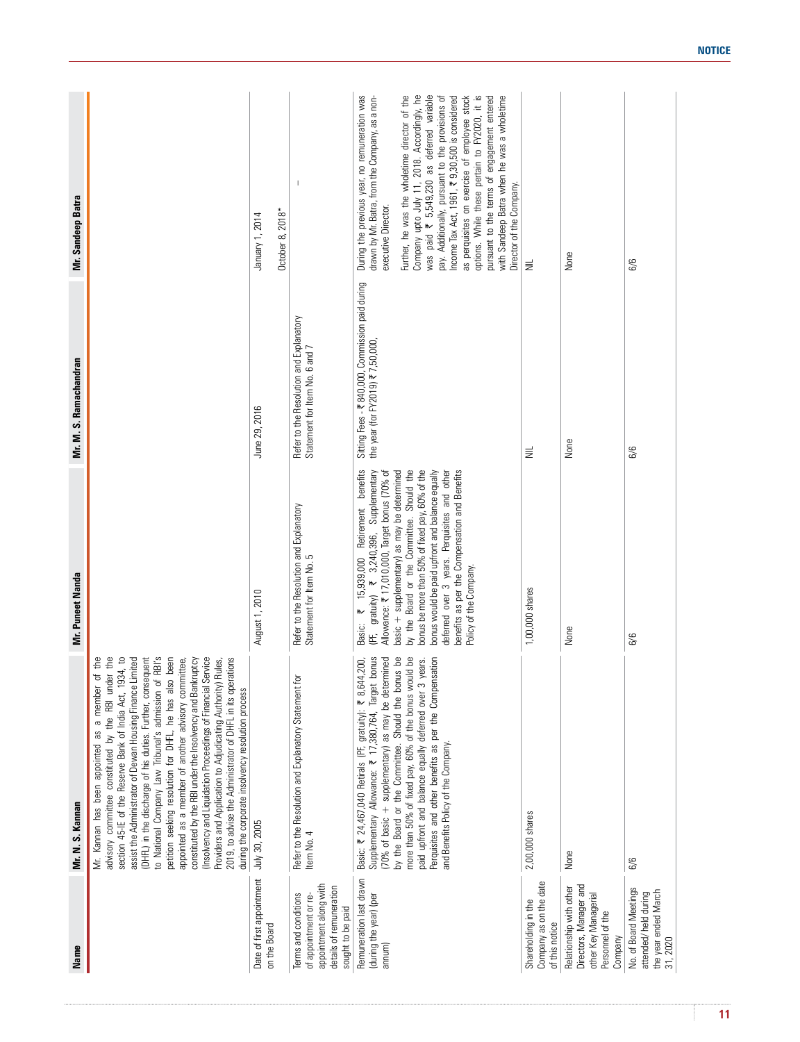| Name                                                                                                                    | Mr. N. S. Kannan                                                                                                                                                                                                                                                                                                                                                                                                                                                                                                                                                                                                                                                                                                                                                                                             | Mr. Puneet Nanda                                                                                                                                                                                                                                                                                                                                                                                                                                                                | Mr. M. S. Ramachandran                                                                | Mr. Sandeep Batra                                                                                                                                                                                                                                                                                                                                                                                                                                                                                                                                                                                   |
|-------------------------------------------------------------------------------------------------------------------------|--------------------------------------------------------------------------------------------------------------------------------------------------------------------------------------------------------------------------------------------------------------------------------------------------------------------------------------------------------------------------------------------------------------------------------------------------------------------------------------------------------------------------------------------------------------------------------------------------------------------------------------------------------------------------------------------------------------------------------------------------------------------------------------------------------------|---------------------------------------------------------------------------------------------------------------------------------------------------------------------------------------------------------------------------------------------------------------------------------------------------------------------------------------------------------------------------------------------------------------------------------------------------------------------------------|---------------------------------------------------------------------------------------|-----------------------------------------------------------------------------------------------------------------------------------------------------------------------------------------------------------------------------------------------------------------------------------------------------------------------------------------------------------------------------------------------------------------------------------------------------------------------------------------------------------------------------------------------------------------------------------------------------|
|                                                                                                                         | to National Company Law Tribunal's admission of RBI's<br>of the<br>advisory committee constituted by the RBI under the<br>section 45-IE of the Reserve Bank of India Act, 1934, to<br>assist the Administrator of Dewan Housing Finance Limited<br>(DHFL) in the discharge of his duties. Further, consequent<br>petition seeking resolution for DHFL, he has also been<br>Service<br>2019, to advise the Administrator of DHFL in its operations<br><b>kruptcy</b><br>appointed as a member of another advisory committee,<br>Providers and Application to Adjudicating Authority) Rules,<br>Mr. Kannan has been appointed as a member<br>constituted by the RBI under the Insolvency and Ban<br>(Insolvency and Liquidation Proceedings of Financial<br>during the corporate insolvency resolution process |                                                                                                                                                                                                                                                                                                                                                                                                                                                                                 |                                                                                       |                                                                                                                                                                                                                                                                                                                                                                                                                                                                                                                                                                                                     |
| Date of first appointment<br>on the Board                                                                               | July 30, 2005                                                                                                                                                                                                                                                                                                                                                                                                                                                                                                                                                                                                                                                                                                                                                                                                | August 1, 2010                                                                                                                                                                                                                                                                                                                                                                                                                                                                  | June 29, 2016                                                                         | October 8, 2018*<br>January 1, 2014                                                                                                                                                                                                                                                                                                                                                                                                                                                                                                                                                                 |
| appointment along with<br>details of remuneration<br>Terms and conditions<br>of appointment or re-<br>sought to be paid | Ìд<br>Refer to the Resolution and Explanatory Statement<br>Item No. 4                                                                                                                                                                                                                                                                                                                                                                                                                                                                                                                                                                                                                                                                                                                                        | Refer to the Resolution and Explanatory<br>Statement for Item No. 5                                                                                                                                                                                                                                                                                                                                                                                                             | Refer to the Resolution and Explanatory<br>Statement for Item No. 6 and 7             | $\overline{\phantom{a}}$                                                                                                                                                                                                                                                                                                                                                                                                                                                                                                                                                                            |
| Remuneration last drawn<br>(during the year) (per<br>annum)                                                             | <b>bonus</b><br>by the Board or the Committee. Should the bonus be<br>more than 50% of fixed pay, 60% of the bonus would be<br>Perquisites and other benefits as per the Compensation<br>(70% of basic + supplementary) as may be determined<br>paid upfront and balance equally deferred over 3 years.<br>Basic: ₹ 24,467,040 Retirals (PF, gratuity): ₹ 8,644,200<br>Supplementary Allowance: ₹ 17,380,764, Target<br>and Benefits Policy of the Company.                                                                                                                                                                                                                                                                                                                                                  | by the Board or the Committee. Should the<br>bonus be more than 50% of fixed pay, 60% of the<br>benefits<br>bonus would be paid upfront and balance equally<br>deferred over 3 years. Perquisites and other<br>benefits as per the Compensation and Benefits<br>₹ 3,240,396, Supplementary<br>pasic + supplementary) as may be determined<br>Allowance: ₹ 17,010,000, Target bonus (70% of<br>Retirement<br>15,939,000<br>Policy of the Company<br>PF, gratuity)<br>₩<br>Basic: | Sitting Fees - ₹ 840,000, Commission paid during<br>the year (for FY2019) ₹ 7,50,000, | During the previous year, no remuneration was<br>was paid ₹ 5,549,230 as deferred variable<br>options. While these pertain to FY2020, it is<br>drawn by Mr. Batra, from the Company, as a non-<br>Further, he was the wholetime director of the<br>Company upto July 11, 2018. Accordingly, he<br>pay. Additionally, pursuant to the provisions of<br>Income Tax Act, 1961, ₹9,30,500 is considered<br>as perquisites on exercise of employee stock<br>pursuant to the terms of engagement entered<br>with Sandeep Batra when he was a wholetime<br>Director of the Company.<br>executive Director. |
| Company as on the date<br>Shareholding in the<br>of this notice                                                         | 2,00,000 shares                                                                                                                                                                                                                                                                                                                                                                                                                                                                                                                                                                                                                                                                                                                                                                                              | 1,00,000 shares                                                                                                                                                                                                                                                                                                                                                                                                                                                                 | $\equiv$                                                                              | $\equiv$                                                                                                                                                                                                                                                                                                                                                                                                                                                                                                                                                                                            |
| Directors, Manager and<br>Relationship with other<br>other Key Managerial<br>Personnel of the<br>Company                | None                                                                                                                                                                                                                                                                                                                                                                                                                                                                                                                                                                                                                                                                                                                                                                                                         | None                                                                                                                                                                                                                                                                                                                                                                                                                                                                            | None                                                                                  | None                                                                                                                                                                                                                                                                                                                                                                                                                                                                                                                                                                                                |
| No. of Board Meetings<br>the year ended March<br>attended/held during<br>31, 2020                                       | 6/6                                                                                                                                                                                                                                                                                                                                                                                                                                                                                                                                                                                                                                                                                                                                                                                                          | 6/6                                                                                                                                                                                                                                                                                                                                                                                                                                                                             | 6/6                                                                                   | 6/6                                                                                                                                                                                                                                                                                                                                                                                                                                                                                                                                                                                                 |

ł.